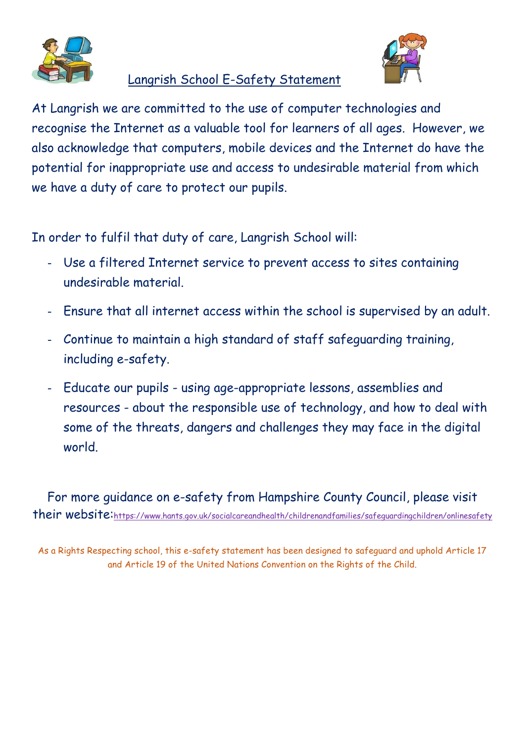

## Langrish School E-Safety Statement



At Langrish we are committed to the use of computer technologies and recognise the Internet as a valuable tool for learners of all ages. However, we also acknowledge that computers, mobile devices and the Internet do have the potential for inappropriate use and access to undesirable material from which we have a duty of care to protect our pupils.

In order to fulfil that duty of care, Langrish School will:

- Use a filtered Internet service to prevent access to sites containing undesirable material.
- Ensure that all internet access within the school is supervised by an adult.
- Continue to maintain a high standard of staff safeguarding training, including e-safety.
- Educate our pupils using age-appropriate lessons, assemblies and resources - about the responsible use of technology, and how to deal with some of the threats, dangers and challenges they may face in the digital world.

For more guidance on e-safety from Hampshire County Council, please visit their website:<https://www.hants.gov.uk/socialcareandhealth/childrenandfamilies/safeguardingchildren/onlinesafety>

As a Rights Respecting school, this e-safety statement has been designed to safeguard and uphold Article 17 and Article 19 of the United Nations Convention on the Rights of the Child.